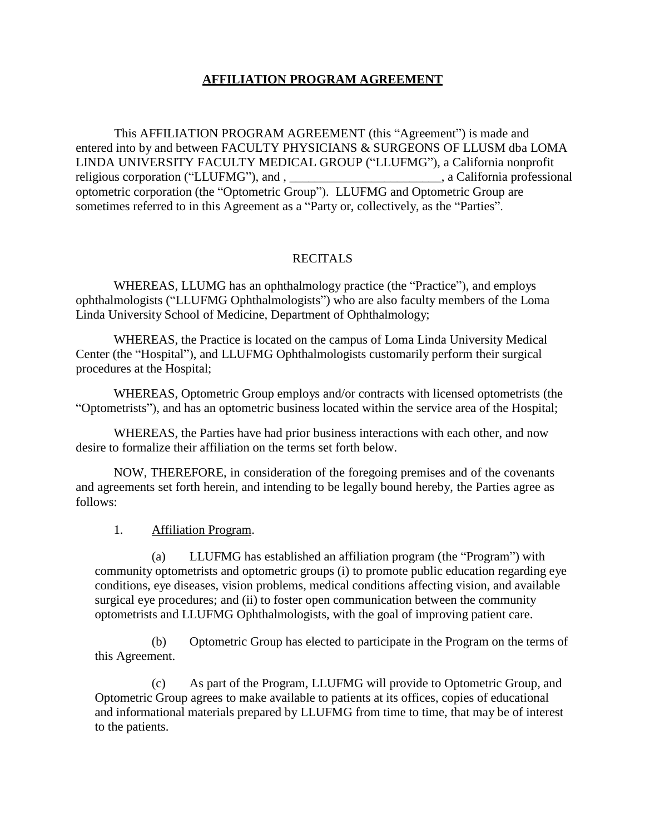# **AFFILIATION PROGRAM AGREEMENT**

This AFFILIATION PROGRAM AGREEMENT (this "Agreement") is made and entered into by and between FACULTY PHYSICIANS & SURGEONS OF LLUSM dba LOMA LINDA UNIVERSITY FACULTY MEDICAL GROUP ("LLUFMG"), a California nonprofit religious corporation ("LLUFMG"), and , \_\_\_\_\_\_\_\_\_\_\_\_\_\_\_\_\_\_\_\_\_\_, a California professional optometric corporation (the "Optometric Group"). LLUFMG and Optometric Group are sometimes referred to in this Agreement as a "Party or, collectively, as the "Parties".

## **RECITALS**

WHEREAS, LLUMG has an ophthalmology practice (the "Practice"), and employs ophthalmologists ("LLUFMG Ophthalmologists") who are also faculty members of the Loma Linda University School of Medicine, Department of Ophthalmology;

WHEREAS, the Practice is located on the campus of Loma Linda University Medical Center (the "Hospital"), and LLUFMG Ophthalmologists customarily perform their surgical procedures at the Hospital;

WHEREAS, Optometric Group employs and/or contracts with licensed optometrists (the "Optometrists"), and has an optometric business located within the service area of the Hospital;

WHEREAS, the Parties have had prior business interactions with each other, and now desire to formalize their affiliation on the terms set forth below.

NOW, THEREFORE, in consideration of the foregoing premises and of the covenants and agreements set forth herein, and intending to be legally bound hereby, the Parties agree as follows:

1. Affiliation Program.

(a) LLUFMG has established an affiliation program (the "Program") with community optometrists and optometric groups (i) to promote public education regarding eye conditions, eye diseases, vision problems, medical conditions affecting vision, and available surgical eye procedures; and (ii) to foster open communication between the community optometrists and LLUFMG Ophthalmologists, with the goal of improving patient care.

(b) Optometric Group has elected to participate in the Program on the terms of this Agreement.

(c) As part of the Program, LLUFMG will provide to Optometric Group, and Optometric Group agrees to make available to patients at its offices, copies of educational and informational materials prepared by LLUFMG from time to time, that may be of interest to the patients.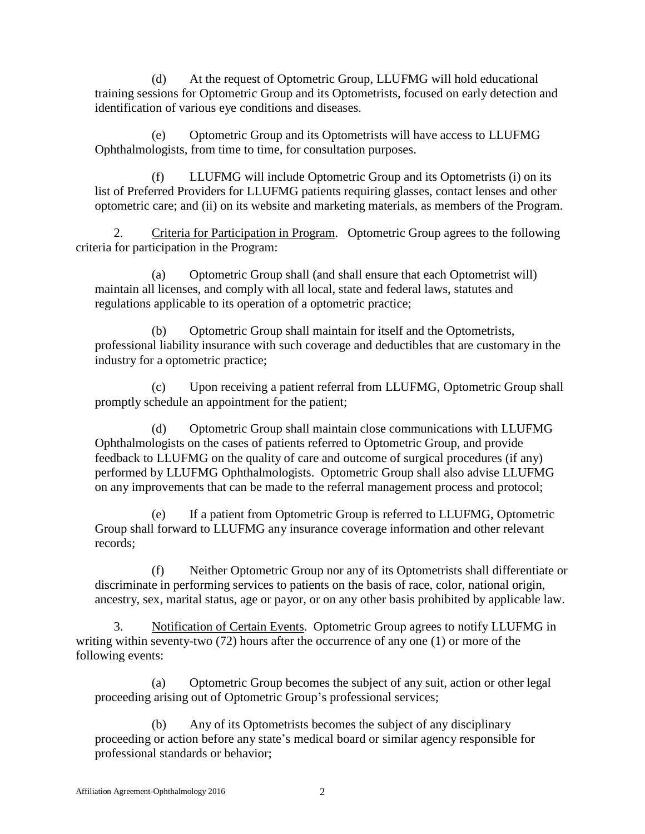(d) At the request of Optometric Group, LLUFMG will hold educational training sessions for Optometric Group and its Optometrists, focused on early detection and identification of various eye conditions and diseases.

(e) Optometric Group and its Optometrists will have access to LLUFMG Ophthalmologists, from time to time, for consultation purposes.

(f) LLUFMG will include Optometric Group and its Optometrists (i) on its list of Preferred Providers for LLUFMG patients requiring glasses, contact lenses and other optometric care; and (ii) on its website and marketing materials, as members of the Program.

2. Criteria for Participation in Program. Optometric Group agrees to the following criteria for participation in the Program:

(a) Optometric Group shall (and shall ensure that each Optometrist will) maintain all licenses, and comply with all local, state and federal laws, statutes and regulations applicable to its operation of a optometric practice;

(b) Optometric Group shall maintain for itself and the Optometrists, professional liability insurance with such coverage and deductibles that are customary in the industry for a optometric practice;

(c) Upon receiving a patient referral from LLUFMG, Optometric Group shall promptly schedule an appointment for the patient;

(d) Optometric Group shall maintain close communications with LLUFMG Ophthalmologists on the cases of patients referred to Optometric Group, and provide feedback to LLUFMG on the quality of care and outcome of surgical procedures (if any) performed by LLUFMG Ophthalmologists. Optometric Group shall also advise LLUFMG on any improvements that can be made to the referral management process and protocol;

(e) If a patient from Optometric Group is referred to LLUFMG, Optometric Group shall forward to LLUFMG any insurance coverage information and other relevant records;

(f) Neither Optometric Group nor any of its Optometrists shall differentiate or discriminate in performing services to patients on the basis of race, color, national origin, ancestry, sex, marital status, age or payor, or on any other basis prohibited by applicable law.

3. Notification of Certain Events. Optometric Group agrees to notify LLUFMG in writing within seventy-two (72) hours after the occurrence of any one (1) or more of the following events:

(a) Optometric Group becomes the subject of any suit, action or other legal proceeding arising out of Optometric Group's professional services;

(b) Any of its Optometrists becomes the subject of any disciplinary proceeding or action before any state's medical board or similar agency responsible for professional standards or behavior;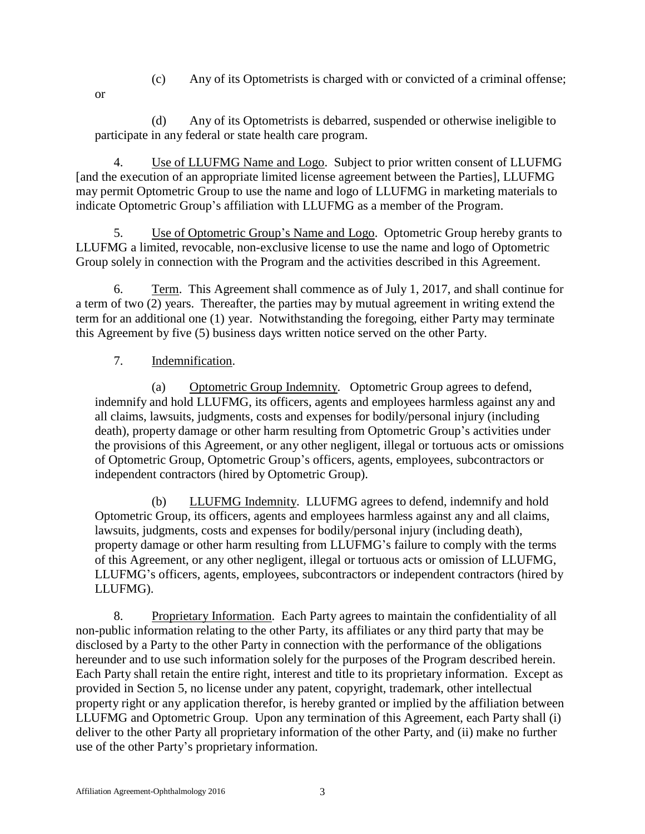- (c) Any of its Optometrists is charged with or convicted of a criminal offense;
- or

(d) Any of its Optometrists is debarred, suspended or otherwise ineligible to participate in any federal or state health care program.

4. Use of LLUFMG Name and Logo. Subject to prior written consent of LLUFMG [and the execution of an appropriate limited license agreement between the Parties], LLUFMG may permit Optometric Group to use the name and logo of LLUFMG in marketing materials to indicate Optometric Group's affiliation with LLUFMG as a member of the Program.

5. Use of Optometric Group's Name and Logo. Optometric Group hereby grants to LLUFMG a limited, revocable, non-exclusive license to use the name and logo of Optometric Group solely in connection with the Program and the activities described in this Agreement.

6. Term. This Agreement shall commence as of July 1, 2017, and shall continue for a term of two (2) years. Thereafter, the parties may by mutual agreement in writing extend the term for an additional one (1) year. Notwithstanding the foregoing, either Party may terminate this Agreement by five (5) business days written notice served on the other Party.

# 7. Indemnification.

(a) Optometric Group Indemnity. Optometric Group agrees to defend, indemnify and hold LLUFMG, its officers, agents and employees harmless against any and all claims, lawsuits, judgments, costs and expenses for bodily/personal injury (including death), property damage or other harm resulting from Optometric Group's activities under the provisions of this Agreement, or any other negligent, illegal or tortuous acts or omissions of Optometric Group, Optometric Group's officers, agents, employees, subcontractors or independent contractors (hired by Optometric Group).

(b) LLUFMG Indemnity. LLUFMG agrees to defend, indemnify and hold Optometric Group, its officers, agents and employees harmless against any and all claims, lawsuits, judgments, costs and expenses for bodily/personal injury (including death), property damage or other harm resulting from LLUFMG's failure to comply with the terms of this Agreement, or any other negligent, illegal or tortuous acts or omission of LLUFMG, LLUFMG's officers, agents, employees, subcontractors or independent contractors (hired by LLUFMG).

8. Proprietary Information. Each Party agrees to maintain the confidentiality of all non-public information relating to the other Party, its affiliates or any third party that may be disclosed by a Party to the other Party in connection with the performance of the obligations hereunder and to use such information solely for the purposes of the Program described herein. Each Party shall retain the entire right, interest and title to its proprietary information. Except as provided in Section 5, no license under any patent, copyright, trademark, other intellectual property right or any application therefor, is hereby granted or implied by the affiliation between LLUFMG and Optometric Group. Upon any termination of this Agreement, each Party shall (i) deliver to the other Party all proprietary information of the other Party, and (ii) make no further use of the other Party's proprietary information.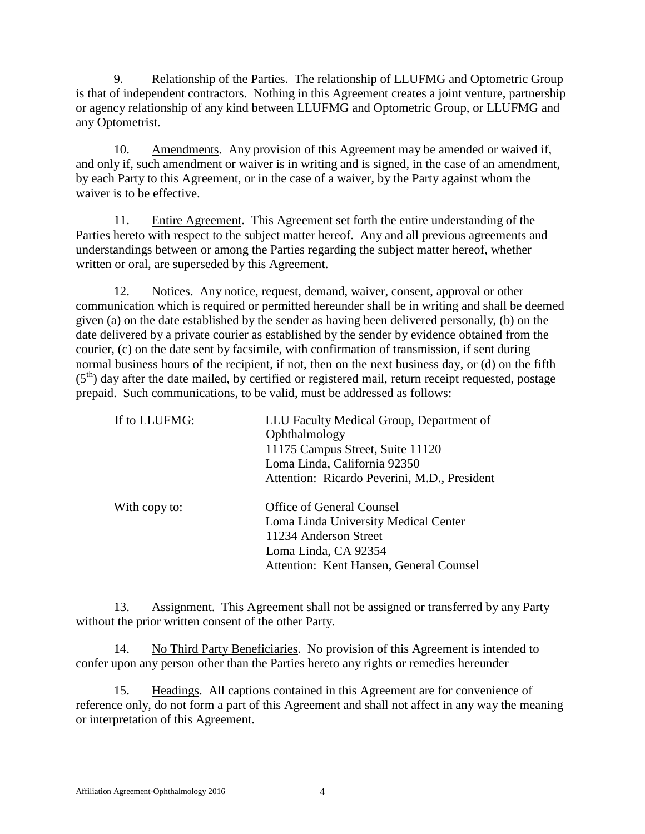9. Relationship of the Parties. The relationship of LLUFMG and Optometric Group is that of independent contractors. Nothing in this Agreement creates a joint venture, partnership or agency relationship of any kind between LLUFMG and Optometric Group, or LLUFMG and any Optometrist.

10. Amendments. Any provision of this Agreement may be amended or waived if, and only if, such amendment or waiver is in writing and is signed, in the case of an amendment, by each Party to this Agreement, or in the case of a waiver, by the Party against whom the waiver is to be effective.

11. Entire Agreement. This Agreement set forth the entire understanding of the Parties hereto with respect to the subject matter hereof. Any and all previous agreements and understandings between or among the Parties regarding the subject matter hereof, whether written or oral, are superseded by this Agreement.

12. Notices. Any notice, request, demand, waiver, consent, approval or other communication which is required or permitted hereunder shall be in writing and shall be deemed given (a) on the date established by the sender as having been delivered personally, (b) on the date delivered by a private courier as established by the sender by evidence obtained from the courier, (c) on the date sent by facsimile, with confirmation of transmission, if sent during normal business hours of the recipient, if not, then on the next business day, or (d) on the fifth (5<sup>th</sup>) day after the date mailed, by certified or registered mail, return receipt requested, postage prepaid. Such communications, to be valid, must be addressed as follows:

| If to LLUFMG: | LLU Faculty Medical Group, Department of     |
|---------------|----------------------------------------------|
|               | Ophthalmology                                |
|               | 11175 Campus Street, Suite 11120             |
|               | Loma Linda, California 92350                 |
|               | Attention: Ricardo Peverini, M.D., President |
| With copy to: | <b>Office of General Counsel</b>             |
|               | Loma Linda University Medical Center         |
|               | 11234 Anderson Street                        |
|               | Loma Linda, CA 92354                         |
|               | Attention: Kent Hansen, General Counsel      |

13. Assignment. This Agreement shall not be assigned or transferred by any Party without the prior written consent of the other Party.

14. No Third Party Beneficiaries. No provision of this Agreement is intended to confer upon any person other than the Parties hereto any rights or remedies hereunder

15. Headings. All captions contained in this Agreement are for convenience of reference only, do not form a part of this Agreement and shall not affect in any way the meaning or interpretation of this Agreement.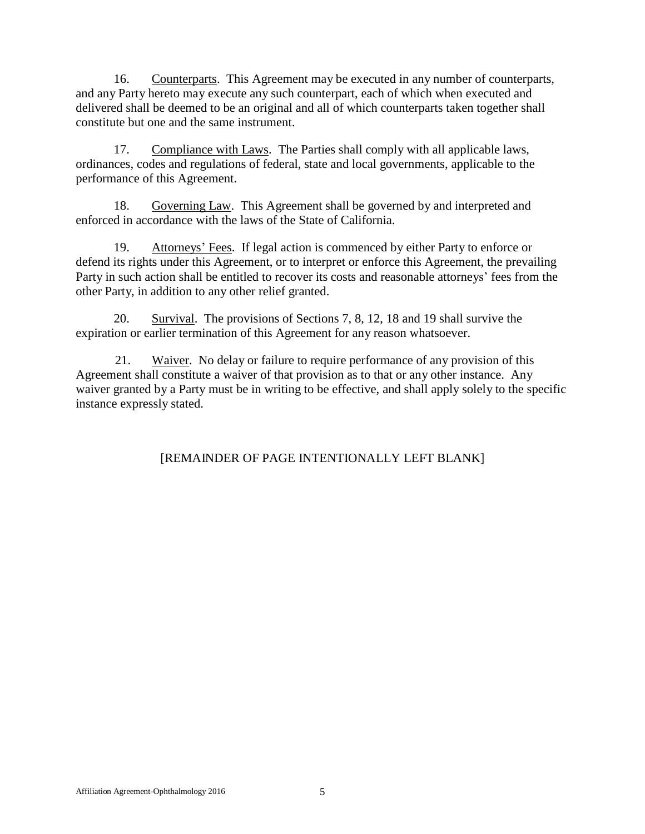16. Counterparts. This Agreement may be executed in any number of counterparts, and any Party hereto may execute any such counterpart, each of which when executed and delivered shall be deemed to be an original and all of which counterparts taken together shall constitute but one and the same instrument.

17. Compliance with Laws. The Parties shall comply with all applicable laws, ordinances, codes and regulations of federal, state and local governments, applicable to the performance of this Agreement.

18. Governing Law. This Agreement shall be governed by and interpreted and enforced in accordance with the laws of the State of California.

19. Attorneys' Fees. If legal action is commenced by either Party to enforce or defend its rights under this Agreement, or to interpret or enforce this Agreement, the prevailing Party in such action shall be entitled to recover its costs and reasonable attorneys' fees from the other Party, in addition to any other relief granted.

20. Survival. The provisions of Sections 7, 8, 12, 18 and 19 shall survive the expiration or earlier termination of this Agreement for any reason whatsoever.

21. Waiver. No delay or failure to require performance of any provision of this Agreement shall constitute a waiver of that provision as to that or any other instance. Any waiver granted by a Party must be in writing to be effective, and shall apply solely to the specific instance expressly stated.

# [REMAINDER OF PAGE INTENTIONALLY LEFT BLANK]